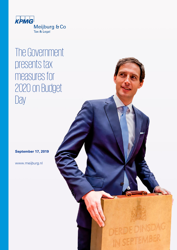

## The Government presents tax measures for 2020 on Budget Day

**September 17, 2019**

www.meijburg.nl

DERDEDINSDAG IN SEPTEMBER © 2019 Meijburg & Co, Tax & Legal, is an association of private limited liability companies under Dutch law registered with the Trade Registry under number 53753348 and is a member of KPMG International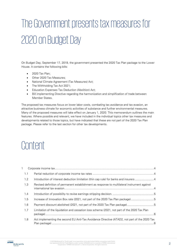# The Government presents tax measures for 2020 on Budget Day

On Budget Day, September 17, 2019, the government presented the 2020 Tax Plan package to the Lower House. It contains the following bills:

- 2020 Tax Plan:
- Other 2020 Tax Measures;
- National Climate Agreement (Tax Measures) Act;
- The Withholding Tax Act 2021;
- Education Expenses Tax Deduction (Abolition) Act;
- Bill implementing Directive regarding the harmonization and simplification of trade between Member States.

The proposed tax measures focus on lower labor costs, combating tax avoidance and tax evasion, an attractive business climate for economic activities of substance and further environmental measures. Many of the proposed measures will take effect on January 1, 2020. This memorandum outlines the main features. Where possible and relevant, we have included in the individual topics other tax measures and developments related to those topics, but have indicated that these are not part of the 2020 Tax Plan package. Please refer to the last section for other tax developments.

## Content

| 1   |                                                                                              |  |
|-----|----------------------------------------------------------------------------------------------|--|
| 1.1 |                                                                                              |  |
| 1.2 | Introduction of interest deduction limitation (thin cap rule) for banks and insurers 4       |  |
| 1.3 | Revised definition of permanent establishment as response to multilateral instrument against |  |
| 1.4 |                                                                                              |  |
| 1.5 | Increase of Innovation Box rate (2021, not part of the 2020 Tax Plan package)5               |  |
| 1.6 | Payment discount abolished (2021, not part of the 2020 Tax Plan package)5                    |  |
| 1.7 | Limitation of the liquidation and cessation loss scheme (2021, not part of the 2020 Tax Plan |  |
| 1.8 | Act implementing the second EU Anti-Tax Avoidance Directive (ATAD2, not part of the 2020 Tax |  |

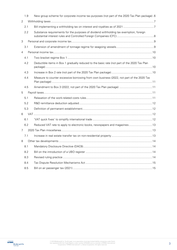|   | 1.9 | New group scheme for corporate income tax purposes (not part of the 2020 Tax Plan package).6 |  |
|---|-----|----------------------------------------------------------------------------------------------|--|
| 2 |     |                                                                                              |  |
|   | 2.1 |                                                                                              |  |
|   | 2.2 | Substance requirements for the purposes of dividend withholding tax exemption, foreign       |  |
| 3 |     |                                                                                              |  |
|   | 3.1 |                                                                                              |  |
| 4 |     |                                                                                              |  |
|   | 4.1 |                                                                                              |  |
|   | 4.2 | Deductible items in Box 1 gradually reduced to the basic rate (not part of the 2020 Tax Plan |  |
|   | 4.3 |                                                                                              |  |
|   | 4.4 | Measure to counter excessive borrowing from own business (2022, not part of the 2020 Tax     |  |
|   | 4.5 |                                                                                              |  |
| 5 |     |                                                                                              |  |
|   | 5.1 |                                                                                              |  |
|   | 5.2 |                                                                                              |  |
|   | 5.3 |                                                                                              |  |
| 6 |     |                                                                                              |  |
|   | 6.1 |                                                                                              |  |
|   | 6.2 | Reduced VAT rate to apply to electronic books, newspapers and magazines 13                   |  |
| 7 |     |                                                                                              |  |
|   | 7.1 |                                                                                              |  |
| 8 |     |                                                                                              |  |
|   |     |                                                                                              |  |
|   | 8.2 |                                                                                              |  |
|   | 8.3 |                                                                                              |  |
|   | 8.4 |                                                                                              |  |
|   | 8.5 |                                                                                              |  |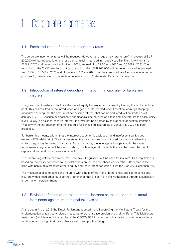## <span id="page-3-0"></span>1 Corporate income tax

#### <span id="page-3-1"></span>1.1 Partial reduction of corporate income tax rates

The corporate income tax rates will be reduced. However, the regular tax rate for profit in excess of EUR 200,000 will be reduced later and less than originally intended in the previous Tax Plan. It will remain at 25% in 2020 and be reduced to 21.7% in 2021, instead of to 22.55% in 2020 and 20.5% in 2021. The reduction of the 'SME rate' for profit up to and including EUR 200,000 will however proceed as planned: from 19% to 16.5% in 2020 and ultimately to 15% in 2021. For the combined rate (corporate income tax plus Box 2), please refer to the section 'Increase in Box 2 rate' under Personal Income Tax.

### <span id="page-3-2"></span>1.2 Introduction of interest deduction limitation (thin cap rule) for banks and insurers

The government wishes to facilitate the use of equity to carry on a business by limiting the tax benefits for debt. This has resulted in the introduction of a generic interest deduction limitation (earnings stripping measure) ensuring that the amount of net payable interest that can be deducted will be limited as of January 1, 2019. Because businesses in the financial sector, such as banks and insurers, (at the fiscal unity level) usually, on balance, receive interest, they will not be affected by this general deduction limitation. That is why the introduction of a thin cap rule for banks and insurers as of January 1, 2020 has been proposed.

For banks this means, briefly, that the interest deduction is excluded if and insofar as a bank's debt exceeds 92% (debt ratio). The total assets on the balance sheet are not used for this, but rather the uniform regulatory framework for banks. Thus, for banks, the leverage ratio appearing in the capital requirements regulation will be used. In short, this leverage ratio reflects the ratio between the Tier 1 capital and the total risk exposure of a bank.

The uniform regulatory framework, the Solvency II Regulation, will be used for insurers. This Regulation is based on the equity compared to the total assets on the balance sheet (equity ratio). Other than is the case with banks, this measure affects equity and the interest deduction is limited if equity is less than 8%.

The measure applies to banks and insurers with a head office in the Netherlands, but also to banks and insurers with a head office outside the Netherlands that are active in the Netherlands through a subsidiary or permanent establishment.

### <span id="page-3-3"></span>1.3 Revised definition of permanent establishment as response to multilateral instrument against international tax evasion

At the beginning of 2019 the Dutch Parliament adopted the bill approving the Multilateral Treaty for the implementation of tax treaty-related measures to prevent base erosion and profit shifting. This Multilateral Instrument (MLI) is one of the results of the OECD's BEPS project, which aims to combat tax evasion by multinationals through their use of base erosion and profit shifting.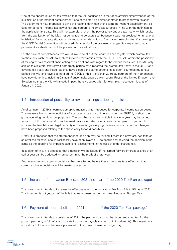One of the opportunities for tax evasion that the MLI focuses on is that of an artificial circumvention of the qualification of permanent establishment, one of the starting points for states to proceed with taxation. The government now proposes to bring the national definition of the term 'permanent establishment' as used for personal income tax, payroll tax and corporate income tax purposes in line with the definition in the applicable tax treaty. This will, for example, prevent the power to tax under a tax treaty, which results from the application of the MLI, not being able to be exercised, because it was not provided for in national legislation. For non-treaty situations, the most recent definition of 'permanent establishment' appearing in the OECD Model Convention will be used. As a result of the proposed changes, it is expected that a permanent establishment will be present in more situations.

For the sake of completeness, we would like to point out that countries can register which bilateral tax treaties they wish the MLI to apply to (covered tax treaties) with the OECD. The MLI offers the possibility of making certain reservations/electing certain options with regard to the various measures. The MLI only applies to a bilateral tax treaty if both treaty parties have reported the bilateral tax treaty to the OECD as a covered tax treaty and insofar as they have elected the same options. In addition, countries must have ratified the MLI and have also notified the OECD of this. More than 20 treaty partners of the Netherlands have now done this, including Canada, France, India, Japan, Luxembourg, Russia, the United Kingdom and Sweden, so that the MLI will already impact the tax treaties with, for example, these countries, as of January 1, 2020.

#### <span id="page-4-0"></span>1.4 Introduction of possibility to revise earnings stripping decision.

As of January 1, 2019 an earnings stripping measure was introduced for corporate income tax purposes. This measure limits the deductibility of a taxpayer's balance of interest under the EBITDA, in short: the gross operating result for tax purposes. The part that is non-deductible in any one year may be carried forward in full. The carried-forward interest balance is determined in a decision open to objection. To improve the feasibility and legal certainty of the earnings stripping measure, some procedural changes have been proposed relating to the above carry-forward possibility.

Firstly, it is proposed that the aforementioned decision may be revised if there is a new fact, bad faith or an error the taxpayer should realistically have been aware of. The deadline for revising the decision is the same as the deadline for imposing additional assessments in the case of undercharged tax.

In addition to this, it is proposed that a decision will be issued if the carried-forward interest balance of an earlier year can be deducted when determining the profit of a later year.

Both measures also apply to decisions that were issued before these measures take effect, so that current and new decisions will be treated the same.

#### <span id="page-4-1"></span>1.5 Increase of Innovation Box rate (2021, not part of the 2020 Tax Plan package)

The government intends to increase the effective rate in the Innovation Box from 7% to 9% as of 2021. This intention is not yet part of the bills that were presented to the Lower House on Budget Day.

#### <span id="page-4-2"></span>1.6 Payment discount abolished (2021, not part of the 2020 Tax Plan package)

The government intends to abolish, as of 2021, the payment discount that is currently granted for the prompt payment, in full, of any corporate income tax payable (instead of in installments). This intention is not yet part of the bills that were presented to the Lower House on Budget Day.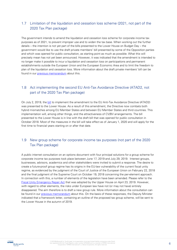### <span id="page-5-0"></span>1.7 Limitation of the liquidation and cessation loss scheme (2021, not part of the 2020 Tax Plan package)

The government intends to amend the liquidation and cessation loss scheme for corporate income tax purposes as of 2021, to prevent improper use and to widen the tax base. When working out the further details – the intention is not yet part of the bills presented to the Lower House on Budget Day – the government would like to use the draft private members' bill presented by some of the Opposition parties and which was opened for public consultation, as starting point as much as possible. What this will precisely mean has not yet been announced. However, it was indicated that the amendment is intended to no longer make it possible to incur a liquidation and cessation loss on participations and permanent establishments outside the European Union and the European Economic Area and to limit the freedom to plan of the liquidation and cessation loss. More information about the draft private members' bill can be found in our [previous memorandum](https://meijburg.com/news/internet-consultation-on-bill-amending-the-liquidation-and-cessation-loss-rules-for-corporate-income-tax-purposes) about this.

### <span id="page-5-1"></span>1.8 Act implementing the second EU Anti-Tax Avoidance Directive (ATAD2, not part of the 2020 Tax Plan package)

On July 2, 2019, the [bill](https://meijburg.com/news/bill-on-implementation-of-atad2-presented-to-the-lower-house) to implement the amendment to the EU Anti-Tax Avoidance Directive (ATAD2) was presented to the Lower House. As a result of this amendment, the Directive now combats both hybrid mismatches among EU Member States and between EU Member States and third countries. This implementation will, among other things, end the attractiveness of CV/BV arrangements. The bill presented to the Lower House is in line with the draft bill that was opened for public consultation in October 2018. Most of the measures in the bill will take effect as of January 1, 2020 and will apply for the first time to financial years starting on or after that date.

### <span id="page-5-2"></span>1.9 New group scheme for corporate income tax purposes (not part of the 2020 Tax Plan package)

A public internet consultation on an options document with four principal solutions for a group scheme for corporate income tax purposes took place between June 17, 2019 and July 29, 2019. Interest groups, businesses, advisors, academics and other stakeholders were invited to submit a response. The desire to create a future-proof group regime has its origins in the EU-law vulnerability of the current fiscal unity regime, as evidenced by the judgment of the Court of Justice of the European Union on February 22, 2018 and the final judgment of the Supreme Court on October 19, 2018 concerning the per-element approach. In connection with this, a number of elements of the legislation have been amended. Please refer to the [Fiscal Unity Emergency Repair Act](https://meijburg.com/news/fiscal-unity-emergency-repair-act-adopted-by-upper-house-en) that was adopted by the Upper House on April 23, 2019. However, with regard to other elements, the risks under European law have not (or may not have) entirely disappeared. The aim therefore is to draft a new group rule. More information about the consultation can be found in our [previous memorandum](https://meijburg.com/news/start-of-first-internet-consultation-on-new-corporate-income-tax-group-rule) about this. On the basis of these responses, the Deputy Minister indicated that a framework letter, containing an outline of the proposed tax group scheme, will be sent to the Lower House in the autumn of 2019.

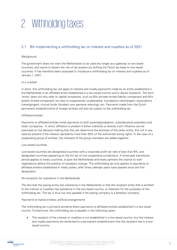## <span id="page-6-0"></span>2 Withholding taxes

### <span id="page-6-1"></span>2.1 Bill implementing a withholding tax on interest and royalties as of 2021

#### Background

The government does not want the Netherlands to be used any longer as a gateway to low-taxed countries, and wants to lessen the risk of tax evasion by shifting the Dutch tax base to low-taxed countries. It has therefore been proposed to introduce a withholding tax on interest and royalties as of January 1, 2021.

#### In a nutshell

In short, this withholding tax will apply to interest and royalty payments made by an entity established in the Netherlands to an affiliated entity established in a low-taxed country and in abuse situations. The term 'entity' does not only refer to capital companies, such as BVs (private limited liability companies) and NVs (public limited companies), but also to cooperatives (coöperaties), foundations (stichtingen), associations (verenigingen), mutual funds (fondsen voor gemene rekening), etc. Payments made from the Dutch permanent establishments of foreign entities will also be subject to the withholding tax.

#### Affiliated entities

Payments to affiliated entities entail payments to both parent/grandparent, subsidiary/sub-subsidiary and sister companies. In short, affiliation is present if either indirectly or directly such influence can be exercised on the decision-making that this can determine the activities of the other entity; this will in any case be present if the interest represents more than 50% of the authorized voting rights. In the case of a cooperating group of entities, the interests of the group members are added together.

#### Low-taxed countries

Low-taxed countries are designated countries with a corporate profit tax rate of less than 9%, and designated countries appearing on the EU list of non-cooperative jurisdictions. A three-year transitional period applies to treaty countries, to give the Netherlands and treaty partners the chance to start negotiations before the position of taxpayers change. The withholding tax only applies to payments to affiliated entities established in treaty states, after three calendar years have passed since the first designation.

#### No exception for substance in the Netherlands

The fact that the paying entity has substance in the Netherlands or that the recipient entity that is entitled to the interest or royalties has substance in the low-taxed country, is irrelevant for the purposes of the withholding tax. The tax is thus not only payable if the paying company is a letterbox company.

#### Payments to hybrid entities; artificial arrangements

The withholding tax is primarily aimed at direct payments to affiliated entities established in a low-taxed country. Furthermore, the withholding tax is payable in the following cases:

 The recipient of the interest or royalties is not established in a low-taxed country, but the interest and royalty payments are attributed to a permanent establishment that the recipient has in a lowtaxed country;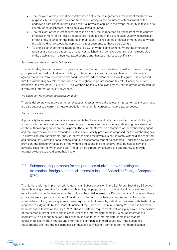- The recipient of the interest or royalties is an entity that is regarded as transparent for Dutch tax purposes, but is regarded as a non-transparent entity by the country of establishment of the underlying participant (in that case a rebuttal provision applies in the event the entity is taxed in its country of establishment, not being a low-taxed country);
- The recipient of the interest or royalties is an entity that is regarded as transparent by its country of establishment (in that case a rebuttal provision applies in the event each underlying participant of that entity is taxed on the benefits in their country or residence or establishment, and to which the withholding tax would be applied on direct payments to those participants);
- To artificial arrangements intended to avoid Dutch withholding tax (e.g. where the interest or royalties are not paid directly to an entity established in a low-taxed country, but indirectly via an entity established in a non-low taxed country and that was interposed artificially).

#### Tax base, tax rate and method of taxation

The withholding tax will be levied on gross benefits in the form of interest and royalties. The arm's length principle will be used (so that an arm's length interest or royalties will be calculated if conditions are agreed that differ from the commercial conditions that independent parties would agree). It is proposed that the withholding tax rate be the same as the highest corporate income tax rate. Under the current proposals, this will be 21.7% in 2021. The withholding tax will be levied by having the paying entity deduct it from their interest or royalty payments.

#### No exception for interest deduction limitation

There is deliberately no provision for an exception in cases where the relevant interest or royalty payments are also subject to a current or future deduction limitation for corporate income tax purposes.

#### Formal provisions

A possibility to impose additional tax assessments has been specifically proposed for the withholding tax, under which the tax inspector can choose on whom to impose the additional withholding tax assessment: on the withholding agent or on the taxpayer. The current information obligations of the withholding agent and the taxpayer will also be expanded. Lastly, a new liability provision is proposed for the withholding tax. This provision can, for example, apply if the withholding tax payable is not correctly withheld and remitted and subsequently any additional withholding tax assessments cannot be collected. Under the new liability provision, the directors/managers of the withholding agent and the taxpayer may be held jointly and severally liable for the withholding tax. The bill offers directors/managers the opportunity to provide rebuttal evidence to avoid being held liable.

### <span id="page-7-0"></span>2.2 Substance requirements for the purposes of dividend withholding tax exemption, foreign substantial interest rules and Controlled Foreign Companies (CFC)

The Netherlands has implemented the general anti-abuse provision in the EU Parent-Subsidiary Directive in the withholding exemption for dividend withholding tax purposes and in the tax liability for entities established outside the Netherlands that hold a substantial interest in a Dutch company. At present, these provisions are subject to a number of conditions in the form of substance requirements. If a conduit intermediate holding company meets these requirements, there is by definition no abuse ('safe harbor'). In response to judgments by the Court of Justice of the European Union in February 2019, is has however been proposed that as of January 1, 2020 these substance requirements will only play a role in the division of the burden of proof (also in those cases where the intermediate company is not an intermediate company with a conduit function). This change applies to both intermediate companies that are established elsewhere in the EU and intermediate companies in third countries. If the substance requirements are met, the tax inspector can thus still convincingly demonstrate that there is abuse.

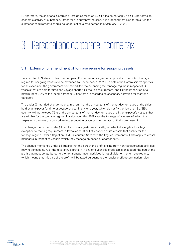Furthermore, the additional Controlled Foreign Companies (CFC) rules do not apply if a CFC performs an economic activity of substance. Other than is currently the case, it is proposed that also for this rule the substance requirements should no longer act as a safe harbor as of January 1, 2020.

## <span id="page-8-0"></span>3 Personal and corporate income tax

#### <span id="page-8-1"></span>3.1 Extension of amendment of tonnage regime for seagoing vessels

Pursuant to EU State aid rules, the European Commission has granted approval for the Dutch tonnage regime for seagoing vessels to be extended to December 31, 2028. To obtain the Commission's approval for an extension, the government committed itself to amending the tonnage regime in respect of (i) vessels that are held for time and voyage charter, (ii) the flag requirement, and (iii) the imposition of a maximum of 50% of the income from activities that are regarded as secondary activities for maritime transport.

The under (i) intended change means, in short, that the annual total of the net day tonnages of the ships held by a taxpayer for time or voyage charter in any one year, which do not fly the flag of an EU/EEA country, will not exceed 75% of the annual total of the net day tonnages of all the taxpayer's vessels that are eligible for the tonnage regime. In calculating this 75% cap, the tonnage of a vessel of which the taxpayer is co-owner, is only taken into account in proportion to the ratio of their co-ownership.

The change mentioned under (ii) results in two adjustments. Firstly, in order to be eligible for a legal exception to the flag requirement, a taxpayer must sail at least one of its vessels that qualify for the tonnage regime under a flag of an EU/EEA country. Secondly, the flag requirement will also apply to vessel managers in respect of vessels which they manage on behalf of another party.

The change mentioned under (iii) means that the part of the profit arising from non-transportation activities may not exceed 50% of the total annual profit. If in any one year this profit cap is exceeded, the part of the profit that must be attributed to the non-transportation activities is not eligible for the tonnage regime, which means that this part of the profit will be taxed pursuant to the regular profit determination rules.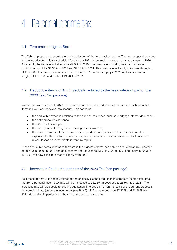## <span id="page-9-0"></span>4 Personal income tax

### <span id="page-9-1"></span>4.1 Two bracket regime Box 1

The Cabinet proposes to accelerate the introduction of the two-bracket regime. The new proposal provides for the introduction, initially scheduled for January 2021, to be implemented as early as January 1, 2020. As a result, the top rate will already be 49.5% in 2020. The basic rate (including national insurance contributions) will be 37.35% in 2020 and 37.10% in 2021. This basic rate will apply to income through to EUR 68,507. For state pension beneficiaries, a rate of 19.45% will apply in 2020 up to an income of roughly EUR 35,000 and a rate of 19.20% in 2021.

### <span id="page-9-2"></span>4.2 Deductible items in Box 1 gradually reduced to the basic rate (not part of the 2020 Tax Plan package)

With effect from January 1, 2020, there will be an accelerated reduction of the rate at which deductible items in Box 1 can be taken into account. This concerns:

- the deductible expenses relating to the principal residence (such as mortgage interest deduction);
- the entrepreneur's allowance;
- the SME profit exemption;
- the exemption in the regime for making assets available;
- the personal tax credit (partner alimony, expenditure on specific healthcare costs, weekend expenses for the disabled, education expenses, deductible donations and – under transitional rules – losses on investments in venture capital).

These deductible items, insofar as they are in the highest bracket, can only be deducted at 46% (instead of 49.5%) in 2020. In 2021, the deduction will be reduced to 43%, in 2022 to 40% and finally in 2023 to 37.10%, the new basic rate that will apply from 2021.

#### <span id="page-9-3"></span>4.3 Increase in Box 2 rate (not part of the 2020 Tax Plan package)

As a measure that was already related to the originally planned reduction in corporate income tax rates, the Box 2 personal income tax rate will be increased to 26.25% in 2020 and to 26.9% as of 2021. The increased rate will also apply to existing substantial interest claims. On the basis of the current proposals, the combined rate (corporate income tax plus Box 2) will fluctuate between 37.87% and 42.76% from 2021, depending in particular on the size of the company's profits.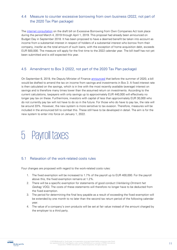### <span id="page-10-0"></span>4.4 Measure to counter excessive borrowing from own business (2022, not part of the 2020 Tax Plan package)

The [internet consultation](https://meijburg.com/news/consultation-on-draft-bill-against-excessive-borrowing-from-own-company) on the draft bill on Excessive Borrowing from Own Companies Act took place during the period March 4, 2019 through April 1, 2019. This proposal had already been announced on Budget Day in September 2018. It has been proposed to have a deemed benefit be taken into account as income from a substantial interest in respect of holders of a substantial interest who borrow from their company, insofar as the total amount of such loans, with the exception of home acquisition debt, exceeds EUR 500,000. The measure will apply for the first time to the 2022 calendar year. The bill itself has not yet been submitted and is still expected this year.

#### <span id="page-10-1"></span>4.5 Amendment to Box 3 (2022, not part of the 2020 Tax Plan package)

On September 6, 2019, the Deputy Minister of Finance [announced](https://meijburg.com/news/deputy-minister-announces-change-to-box-3) that before the summer of 2020, a bill would be drafted to amend the tax on income from savings and investments in Box 3. A fixed interest rate is then calculated on the savings, which is in line with the most recently available (average) interest on savings and is therefore many times lower than the assumed return on investments. According to the current calculations, taxpayers with only savings up to approximately EUR 440,000 will effectively no longer pay tax on these. Furthermore, investors with capital of less than approximately EUR 30,000 who do not currently pay tax will not have to do so in the future. For those who do have to pay tax, the rate will be around 33%. However, the new system is more sensitive to tax evasion. Therefore, measures will be included in the announced bill to combat this. These still have to be developed in detail. The aim is for the new system to enter into force on January 1, 2022.

### <span id="page-10-2"></span>5 Payroll taxes

#### <span id="page-10-3"></span>5.1 Relaxation of the work-related costs rules

Four changes are proposed with regard to the work-related costs rules:

- 1. The fixed exemption will be increased to 1.7% of the payroll up to EUR 400,000. For the payroll above this, the fixed exemption remains at 1.2%.
- 2. There will be a specific exemption for statements of good conduct (Verklaring Omtrent het Gedrag; VOG). The costs of these statements will therefore no longer have to be deducted from the fixed exemption.
- 3. The period for determining the final levy payable as a result of exceeding the fixed exemption will be extended by one month to no later than the second tax return period of the following calendar year.
- 4. The value of a company's own products will be set at fair value instead of the amount charged by the employer to a third party.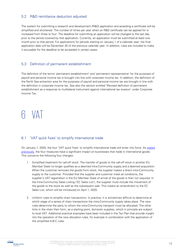### <span id="page-11-0"></span>5.2 R&D remittance deduction adjusted

The system for submitting a research and development (R&D) application and awarding a certificate will be simplified and shortened. The number of times per year when an R&D certificate can be applied for is increased from three to four. The deadline for submitting an application will be changed to the last day prior to the period covered by that application. Currently, an application must be submitted at least one month prior to that period. For applications for periods starting on January 1 of a calendar year, the final application date will be December 20 of the previous calendar year. In addition, rules are included to make it excusable for the deadline to be exceeded in certain cases.

#### <span id="page-11-1"></span>5.3 Definition of permanent establishment

The definition of the terms 'permanent establishment' and 'permanent representative' for the purposes of payroll and personal income tax is brought into line with corporate income tax. In addition, the definition of the North Sea extraction area for the purposes of payroll and personal income tax are brought in line with the definition in corporate income tax. See also the section entitled 'Revised definition of permanent establishment as a response to multilateral instrument against international tax evasion' under Corporate Income Tax.

## <span id="page-11-2"></span>6 VAT

#### <span id="page-11-3"></span>6.1 'VAT quick fixes' to simplify international trade

On January 1, 2020, the four 'VAT quick fixes' to simplify international trade will enter into force. As stated [previously,](https://meijburg.com/news/as-of-january-1-2020-vat-quick-fixes-to-simplify-international-trade) the four measures have a significant impact on businesses that trade in international goods. This concerns the following four changes:

- 1. Simplified treatment for call-off stock. The transfer of goods to the call-off stock in another EU Member State no longer qualifies as a deemed intra-Community supply and a deemed acquisition. When the customer removes the goods from stock, the supplier makes a direct intra-Community supply to the customer. Provided that the supplier and customer meet all conditions, the supplier's VAT registration in the EU Member State of arrival of the goods is then not required. In the Intra-Community Sales Listing ('EC Sales List'), the supplier must include the movement of the goods to the stock as well as the subsequent sale. This means an amendment to the EC Sales List, which will be introduced on April 1, 2020.
- 2. Uniform rules to simplify chain transactions. In practice, it is sometimes difficult to determine at which stage of a series of chain transactions the intra-Community supply takes place. The new rules determine the party to whom the intra-Community transport must be allocated. The other links in the chain then form, as a starting point, domestic supplies, which in principle are subject to local VAT. Additional practical examples have been included in the Tax Plan that provide insight into the operation of the new allocation rules, for example in combination with the application of the simplified A-B-C rules.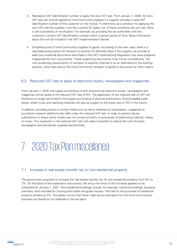- 3. Mandatory VAT identification number to apply the zero VAT rate. From January 1, 2020, the zero VAT rate can only be applied to intra-Community supplies if a supplier provides a valid VAT identification number of the customer on the invoice. Furthermore, as a condition for applying the zero VAT rate the supplier must file a correct EC Sales List. If these conditions are not met, there is still a possibility of rectification. For example, by providing the tax authorities with the customer's correct VAT identification number within a certain period of time. More information about this will be included in the VAT Implementation Decree.
- 4. Simplified proof of intra-Community supplies of goods. According to the new rules, there is a rebuttable presumption of transport to another EU Member State if the supplier can provide at least two evidential documents described in the VAT Implementing Regulation that were prepared independently from one another. These supporting documents must not be contradictory. The new evidentiary presumption of transport is explicitly referred to as an alternative to the existing practice, which also allows the intra-Community transport of goods to be proven by other means.

#### <span id="page-12-0"></span>6.2 Reduced VAT rate to apply to electronic books, newspapers and magazines

From January 1, 2020, the supply and lending of both physical and electronic books, newspapers and magazines will be taxed at the reduced VAT rate of 9%. The application of the reduced rate of VAT will therefore no longer be limited to the supply and lending of physical publications. Downloadable audio books, sheet music and teaching materials will also be subject to the lower rate of VAT in the future.

In addition, providing access to online media such as news websites of newspapers, magazines or journalistic research platforms also falls under the reduced VAT rate. In order to prevent abuse, publications on these online media may not consist primarily or exclusively of advertising material, videos or music. This expansion in the reduced VAT rate will make it possible to reduce the cost of books, newspapers and periodicals supplied electronically.

## <span id="page-12-1"></span>7 2020 Tax Plan miscellanea

#### <span id="page-12-2"></span>7.1 Increase in real estate transfer tax on non-residential property

The government proposes to increase the real estate transfer tax for non-residential property from 6% to 7%. On the basis of the explanatory documents, the entry into force of this increase appears to be scheduled for January 1, 2021. Non-residential buildings include, for example, industrial buildings, business premises, land intended for housing and hotels and guest houses. The rate for the purchase of residential property remains at 2%. The earlier rumors that there might be an exemption for first-time home buyers (starters) are therefore not reflected in the tax plans.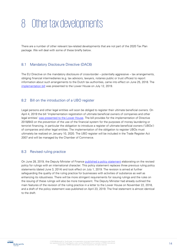## <span id="page-13-0"></span>8 Other tax developments

There are a number of other relevant tax-related developments that are not part of the 2020 Tax Plan package. We will deal with some of these briefly below.

#### <span id="page-13-1"></span>8.1 Mandatory Disclosure Directive (DAC6)

The EU Directive on the mandatory disclosure of cross-border – potentially aggressive – tax arrangements, obliging financial intermediaries (e.g. tax advisors, lawyers, notaries public or trust offices) to report information about such arrangements to the Dutch tax authorities, came into effect on June 25, 2018. The [implementation bill](https://meijburg.com/news/bill-implementing-the-mandatory-disclosure-directive-dac6-presented-to-lower-house) was presented to the Lower House on July 12, 2019.

#### <span id="page-13-2"></span>8.2 Bill on the introduction of a UBO register

Legal persons and other legal entities will soon be obliged to register their ultimate beneficial owners. On April 4, 2019 the bill 'Implementation registration of ultimate beneficial owners of companies and other legal entities' [was presented to the Lower House.](https://meijburg.com/news/bill-on-the-introduction-of-a-ubo-register) The bill provides for the implementation of Directive 2018/843 on the prevention of the use of the financial system for the purposes of money laundering or terrorist financing, in particular the obligation to introduce a register of ultimate beneficial owners ('UBOs') of companies and other legal entities. The implementation of the obligation to register UBOs must ultimately be realized on January 10, 2020. The UBO register will be included in the Trade Register Act 2007 and will be managed by the Chamber of Commerce.

#### <span id="page-13-3"></span>8.3 Revised ruling practice

On June 28, 2019, the Deputy Minister of Finance [published a policy statement](https://meijburg.com/news/final-policy-statement-on-preliminary-consultation-on-rulings-with-an-international-character-published) elaborating on the revised policy for rulings with an international character. This policy statement replaces three previous ruling policy statements (dated June 3, 2014) and took effect on July 1, 2019. The revision is aimed at further safeguarding the quality of the ruling practice for businesses with activities of substance as well as enhancing its robustness. There will be more stringent requirements for issuing rulings and the rules on the issuing of these rulings will also be more transparent. The Deputy Minister had already outlined the main features of the revision of the ruling practice in a letter to the Lower House on November 22, 2018, and a draft of the policy statement was published on April 23, 2019. The final statement is almost identical to the draft.